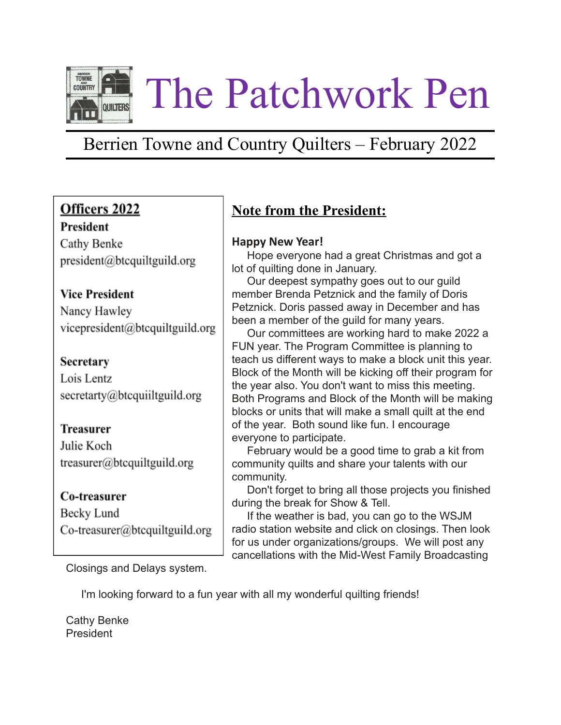

## Berrien Towne and Country Quilters – February 2022

## Officers 2022

### President

Cathy Benke president@btcquiltguild.org

### **Vice President**

Nancy Hawley vicepresident@btcquiltguild.org

### Secretary

Lois Lentz secretarty@btcquiiltguild.org

## **Treasurer**

Julie Koch  $t$ reasurer@btcquiltguild.org

### Co-treasurer

Becky Lund Co-treasurer@btcquiltguild.org

## **Note from the President:**

### **Happy New Year!**

Hope everyone had a great Christmas and got a lot of quilting done in January.

Our deepest sympathy goes out to our guild member Brenda Petznick and the family of Doris Petznick. Doris passed away in December and has been a member of the guild for many years.

Our committees are working hard to make 2022 a FUN year. The Program Committee is planning to teach us different ways to make a block unit this year. Block of the Month will be kicking off their program for the year also. You don't want to miss this meeting. Both Programs and Block of the Month will be making blocks or units that will make a small quilt at the end of the year. Both sound like fun. I encourage everyone to participate.

February would be a good time to grab a kit from community quilts and share your talents with our community.

Don't forget to bring all those projects you finished during the break for Show & Tell.

If the weather is bad, you can go to the WSJM radio station website and click on closings. Then look for us under organizations/groups. We will post any cancellations with the Mid-West Family Broadcasting

Closings and Delays system.

I'm looking forward to a fun year with all my wonderful quilting friends!

Cathy Benke President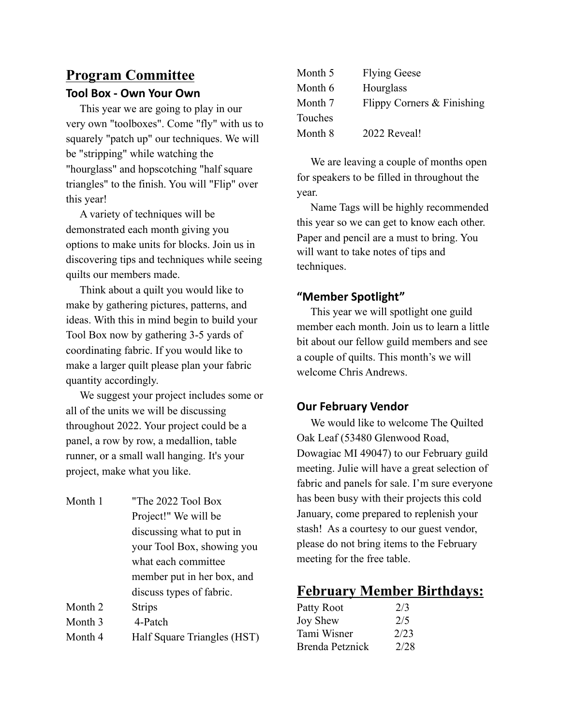# **Program Committee**

### **Tool Box - Own Your Own**

This year we are going to play in our very own "toolboxes". Come "fly" with us to squarely "patch up" our techniques. We will be "stripping" while watching the "hourglass" and hopscotching "half square triangles" to the finish. You will "Flip" over this year!

A variety of techniques will be demonstrated each month giving you options to make units for blocks. Join us in discovering tips and techniques while seeing quilts our members made.

Think about a quilt you would like to make by gathering pictures, patterns, and ideas. With this in mind begin to build your Tool Box now by gathering 3-5 yards of coordinating fabric. If you would like to make a larger quilt please plan your fabric quantity accordingly.

We suggest your project includes some or all of the units we will be discussing throughout 2022. Your project could be a panel, a row by row, a medallion, table runner, or a small wall hanging. It's your project, make what you like.

Month 1 "The 2022 Tool Box Project!" We will be discussing what to put in your Tool Box, showing you what each committee member put in her box, and discuss types of fabric. Month 2 Strips Month 3 4-Patch Month 4 Half Square Triangles (HST)

| Month 5 | <b>Flying Geese</b>        |
|---------|----------------------------|
| Month 6 | Hourglass                  |
| Month 7 | Flippy Corners & Finishing |
| Touches |                            |
| Month 8 | 2022 Reveal!               |

We are leaving a couple of months open for speakers to be filled in throughout the year.

Name Tags will be highly recommended this year so we can get to know each other. Paper and pencil are a must to bring. You will want to take notes of tips and techniques.

### **"Member Spotlight"**

This year we will spotlight one guild member each month. Join us to learn a little bit about our fellow guild members and see a couple of quilts. This month's we will welcome Chris Andrews.

## **Our February Vendor**

We would like to welcome The Quilted Oak Leaf (53480 Glenwood Road, Dowagiac MI 49047) to our February guild meeting. Julie will have a great selection of fabric and panels for sale. I'm sure everyone has been busy with their projects this cold January, come prepared to replenish your stash! As a courtesy to our guest vendor, please do not bring items to the February meeting for the free table.

## **February Member Birthdays:**

| 2/3  |
|------|
| 2/5  |
| 2/23 |
| 2/28 |
|      |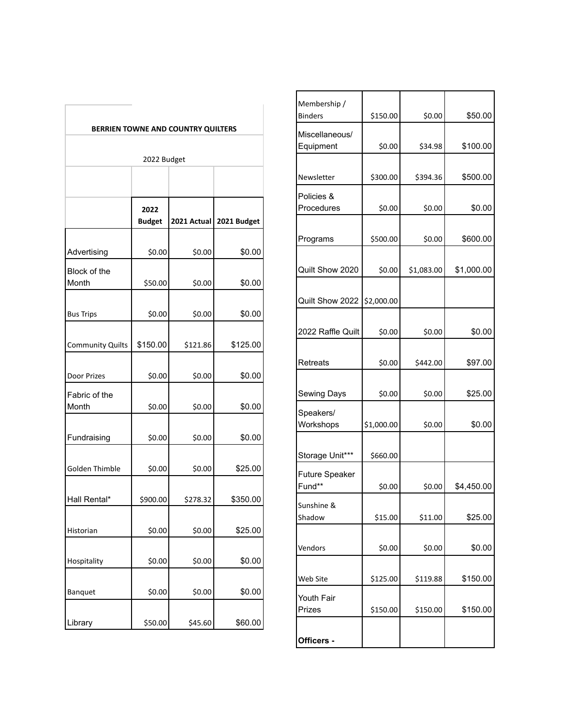|                         |                       |                                    |             | Member<br><b>Binders</b> |
|-------------------------|-----------------------|------------------------------------|-------------|--------------------------|
|                         |                       | BERRIEN TOWNE AND COUNTRY QUILTERS |             | Miscella<br>Equipm       |
|                         | 2022 Budget           |                                    |             |                          |
|                         |                       |                                    |             | Newslet                  |
|                         | 2022<br><b>Budget</b> | 2021 Actual                        | 2021 Budget | Policies<br>Proced       |
|                         |                       |                                    |             | Prograr                  |
| Advertising             | \$0.00                | \$0.00                             | \$0.00      |                          |
| Block of the<br>Month   | \$50.00               | \$0.00                             | \$0.00      | Quilt Sh                 |
|                         |                       |                                    |             |                          |
| <b>Bus Trips</b>        | \$0.00                | \$0.00                             | \$0.00      | Quilt Sh                 |
|                         |                       |                                    |             | 2022 R                   |
| <b>Community Quilts</b> | \$150.00              | \$121.86                           | \$125.00    |                          |
| Door Prizes             | \$0.00                | \$0.00                             | \$0.00      | Retreat                  |
|                         |                       |                                    |             |                          |
| Fabric of the<br>Month  | \$0.00                | \$0.00                             | \$0.00      | Sewing                   |
|                         |                       |                                    |             | Speake<br>Worksh         |
| Fundraising             | \$0.00                | \$0.00                             | \$0.00      |                          |
|                         |                       |                                    |             | Storage                  |
| Golden Thimble          | \$0.00                | \$0.00                             | \$25.00     | Future :<br>Fund**       |
| Hall Rental*            | \$900.00              | \$278.32                           | \$350.00    |                          |
|                         |                       |                                    |             | Sunshin<br>Shadow        |
| Historian               | \$0.00                | \$0.00                             | \$25.00     |                          |
|                         |                       |                                    |             | Vendors                  |
| Hospitality             | \$0.00                | \$0.00                             | \$0.00      |                          |
| Banquet                 | \$0.00                | \$0.00                             | \$0.00      | Web Site                 |
|                         |                       |                                    |             | Youth F<br>Prizes        |
| Library                 | \$50.00               | \$45.60                            | \$60.00     |                          |
|                         |                       |                                    |             |                          |

| Membership /<br><b>Binders</b>  | \$150.00   | \$0.00     | \$50.00    |
|---------------------------------|------------|------------|------------|
|                                 |            |            |            |
| Miscellaneous/<br>Equipment     | \$0.00     | \$34.98    | \$100.00   |
|                                 |            |            |            |
| Newsletter                      | \$300.00   | \$394.36   | \$500.00   |
| Policies &<br>Procedures        | \$0.00     | \$0.00     | \$0.00     |
|                                 |            |            |            |
| Programs                        | \$500.00   | \$0.00     | \$600.00   |
| Quilt Show 2020                 | \$0.00     | \$1,083.00 | \$1,000.00 |
|                                 |            |            |            |
| Quilt Show 2022                 | \$2,000.00 |            |            |
|                                 |            |            |            |
| 2022 Raffle Quilt               | \$0.00     | \$0.00     | \$0.00     |
|                                 |            |            |            |
| Retreats                        | \$0.00     | \$442.00   | \$97.00    |
| Sewing Days                     | \$0.00     | \$0.00     | \$25.00    |
| Speakers/                       |            |            |            |
| Workshops                       | \$1,000.00 | \$0.00     | \$0.00     |
| Storage Unit***                 | \$660.00   |            |            |
| <b>Future Speaker</b><br>Fund** | \$0.00     | \$0.00     | \$4,450.00 |
|                                 |            |            |            |
| Sunshine &<br>Shadow            | \$15.00    | \$11.00    | \$25.00    |
|                                 |            |            |            |
| Vendors                         | \$0.00     | \$0.00     | \$0.00     |
| Web Site                        | \$125.00   | \$119.88   | \$150.00   |
|                                 |            |            |            |
| Youth Fair<br>Prizes            | \$150.00   | \$150.00   | \$150.00   |
|                                 |            |            |            |
| Officers -                      |            |            |            |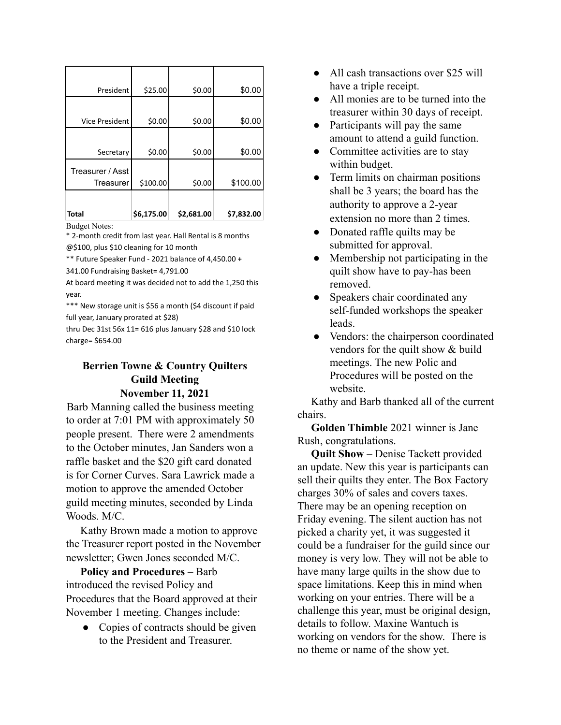| President             | \$25.00    | \$0.00     | \$0.00     |
|-----------------------|------------|------------|------------|
|                       |            |            |            |
| <b>Vice President</b> | \$0.00     | \$0.00     | \$0.00     |
|                       |            |            |            |
| Secretary             | \$0.00     | \$0.00     | \$0.00     |
| Treasurer / Asst      |            |            |            |
| Treasurer             | \$100.00   | \$0.00     | \$100.00   |
|                       |            |            |            |
| <b>Total</b>          | \$6,175.00 | \$2,681.00 | \$7,832.00 |

Budget Notes:

\* 2-month credit from last year. Hall Rental is 8 months @\$100, plus \$10 cleaning for 10 month

\*\* Future Speaker Fund - 2021 balance of 4,450.00 + 341.00 Fundraising Basket= 4,791.00

At board meeting it was decided not to add the 1,250 this year.

\*\*\* New storage unit is \$56 a month (\$4 discount if paid full year, January prorated at \$28)

thru Dec 31st 56x 11= 616 plus January \$28 and \$10 lock charge= \$654.00

### **Berrien Towne & Country Quilters Guild Meeting November 11, 2021**

Barb Manning called the business meeting to order at 7:01 PM with approximately 50 people present. There were 2 amendments to the October minutes, Jan Sanders won a raffle basket and the \$20 gift card donated is for Corner Curves. Sara Lawrick made a motion to approve the amended October guild meeting minutes, seconded by Linda Woods. M/C.

Kathy Brown made a motion to approve the Treasurer report posted in the November newsletter; Gwen Jones seconded M/C.

**Policy and Procedures** – Barb introduced the revised Policy and Procedures that the Board approved at their November 1 meeting. Changes include:

• Copies of contracts should be given to the President and Treasurer.

- All cash transactions over \$25 will have a triple receipt.
- All monies are to be turned into the treasurer within 30 days of receipt.
- Participants will pay the same amount to attend a guild function.
- Committee activities are to stay within budget.
- Term limits on chairman positions shall be 3 years; the board has the authority to approve a 2-year extension no more than 2 times.
- Donated raffle quilts may be submitted for approval.
- Membership not participating in the quilt show have to pay-has been removed.
- Speakers chair coordinated any self-funded workshops the speaker leads.
- Vendors: the chairperson coordinated vendors for the quilt show & build meetings. The new Polic and Procedures will be posted on the website.

Kathy and Barb thanked all of the current chairs.

**Golden Thimble** 2021 winner is Jane Rush, congratulations.

**Quilt Show** – Denise Tackett provided an update. New this year is participants can sell their quilts they enter. The Box Factory charges 30% of sales and covers taxes. There may be an opening reception on Friday evening. The silent auction has not picked a charity yet, it was suggested it could be a fundraiser for the guild since our money is very low. They will not be able to have many large quilts in the show due to space limitations. Keep this in mind when working on your entries. There will be a challenge this year, must be original design, details to follow. Maxine Wantuch is working on vendors for the show. There is no theme or name of the show yet.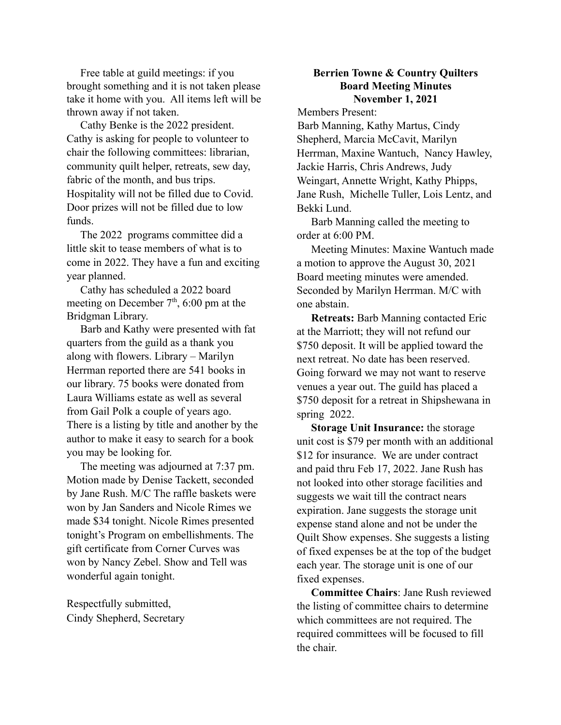Free table at guild meetings: if you brought something and it is not taken please take it home with you. All items left will be thrown away if not taken.

Cathy Benke is the 2022 president. Cathy is asking for people to volunteer to chair the following committees: librarian, community quilt helper, retreats, sew day, fabric of the month, and bus trips. Hospitality will not be filled due to Covid. Door prizes will not be filled due to low funds.

The 2022 programs committee did a little skit to tease members of what is to come in 2022. They have a fun and exciting year planned.

Cathy has scheduled a 2022 board meeting on December  $7<sup>th</sup>$ , 6:00 pm at the Bridgman Library.

Barb and Kathy were presented with fat quarters from the guild as a thank you along with flowers. Library – Marilyn Herrman reported there are 541 books in our library. 75 books were donated from Laura Williams estate as well as several from Gail Polk a couple of years ago. There is a listing by title and another by the author to make it easy to search for a book you may be looking for.

The meeting was adjourned at 7:37 pm. Motion made by Denise Tackett, seconded by Jane Rush. M/C The raffle baskets were won by Jan Sanders and Nicole Rimes we made \$34 tonight. Nicole Rimes presented tonight's Program on embellishments. The gift certificate from Corner Curves was won by Nancy Zebel. Show and Tell was wonderful again tonight.

Respectfully submitted, Cindy Shepherd, Secretary

#### **Berrien Towne & Country Quilters Board Meeting Minutes November 1, 2021**

Members Present:

Barb Manning, Kathy Martus, Cindy Shepherd, Marcia McCavit, Marilyn Herrman, Maxine Wantuch, Nancy Hawley, Jackie Harris, Chris Andrews, Judy Weingart, Annette Wright, Kathy Phipps, Jane Rush, Michelle Tuller, Lois Lentz, and Bekki Lund.

Barb Manning called the meeting to order at 6:00 PM.

Meeting Minutes: Maxine Wantuch made a motion to approve the August 30, 2021 Board meeting minutes were amended. Seconded by Marilyn Herrman. M/C with one abstain.

**Retreats:** Barb Manning contacted Eric at the Marriott; they will not refund our \$750 deposit. It will be applied toward the next retreat. No date has been reserved. Going forward we may not want to reserve venues a year out. The guild has placed a \$750 deposit for a retreat in Shipshewana in spring 2022.

**Storage Unit Insurance:** the storage unit cost is \$79 per month with an additional \$12 for insurance. We are under contract and paid thru Feb 17, 2022. Jane Rush has not looked into other storage facilities and suggests we wait till the contract nears expiration. Jane suggests the storage unit expense stand alone and not be under the Quilt Show expenses. She suggests a listing of fixed expenses be at the top of the budget each year. The storage unit is one of our fixed expenses.

**Committee Chairs**: Jane Rush reviewed the listing of committee chairs to determine which committees are not required. The required committees will be focused to fill the chair.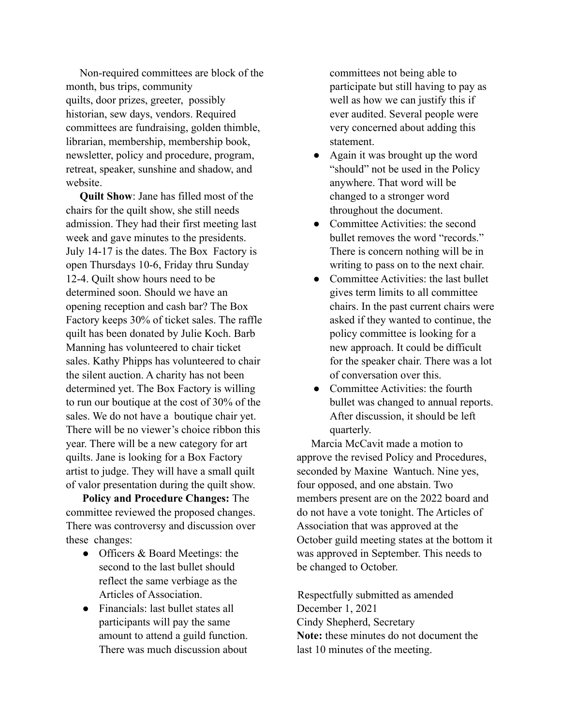Non-required committees are block of the month, bus trips, community quilts, door prizes, greeter, possibly historian, sew days, vendors. Required committees are fundraising, golden thimble, librarian, membership, membership book, newsletter, policy and procedure, program, retreat, speaker, sunshine and shadow, and website.

**Quilt Show**: Jane has filled most of the chairs for the quilt show, she still needs admission. They had their first meeting last week and gave minutes to the presidents. July 14-17 is the dates. The Box Factory is open Thursdays 10-6, Friday thru Sunday 12-4. Quilt show hours need to be determined soon. Should we have an opening reception and cash bar? The Box Factory keeps 30% of ticket sales. The raffle quilt has been donated by Julie Koch. Barb Manning has volunteered to chair ticket sales. Kathy Phipps has volunteered to chair the silent auction. A charity has not been determined yet. The Box Factory is willing to run our boutique at the cost of 30% of the sales. We do not have a boutique chair yet. There will be no viewer's choice ribbon this year. There will be a new category for art quilts. Jane is looking for a Box Factory artist to judge. They will have a small quilt of valor presentation during the quilt show.

**Policy and Procedure Changes:** The committee reviewed the proposed changes. There was controversy and discussion over these changes:

- Officers & Board Meetings: the second to the last bullet should reflect the same verbiage as the Articles of Association.
- Financials: last bullet states all participants will pay the same amount to attend a guild function. There was much discussion about

committees not being able to participate but still having to pay as well as how we can justify this if ever audited. Several people were very concerned about adding this statement.

- Again it was brought up the word "should" not be used in the Policy anywhere. That word will be changed to a stronger word throughout the document.
- Committee Activities: the second bullet removes the word "records." There is concern nothing will be in writing to pass on to the next chair.
- Committee Activities: the last bullet gives term limits to all committee chairs. In the past current chairs were asked if they wanted to continue, the policy committee is looking for a new approach. It could be difficult for the speaker chair. There was a lot of conversation over this.
- Committee Activities: the fourth bullet was changed to annual reports. After discussion, it should be left quarterly.

Marcia McCavit made a motion to approve the revised Policy and Procedures, seconded by Maxine Wantuch. Nine yes, four opposed, and one abstain. Two members present are on the 2022 board and do not have a vote tonight. The Articles of Association that was approved at the October guild meeting states at the bottom it was approved in September. This needs to be changed to October.

Respectfully submitted as amended December 1, 2021 Cindy Shepherd, Secretary **Note:** these minutes do not document the last 10 minutes of the meeting.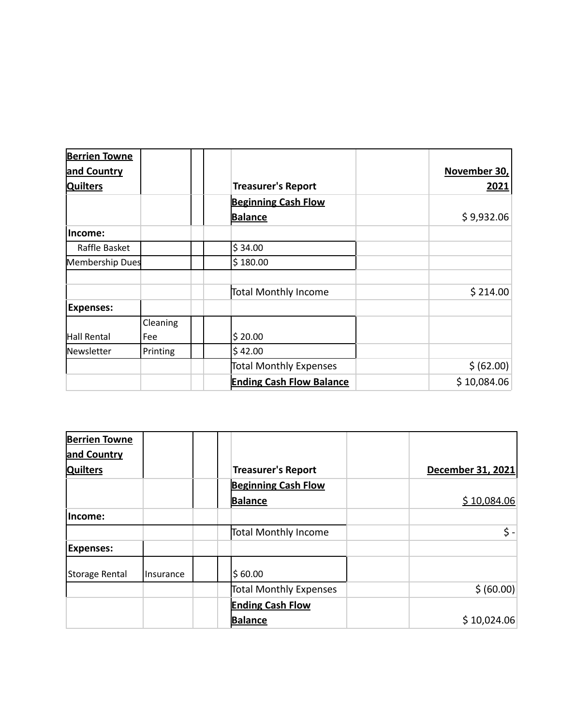| <b>Berrien Towne</b>   |          |                                 |              |
|------------------------|----------|---------------------------------|--------------|
| and Country            |          |                                 | November 30, |
| <b>Quilters</b>        |          | <b>Treasurer's Report</b>       | 2021         |
|                        |          | <b>Beginning Cash Flow</b>      |              |
|                        |          | <b>Balance</b>                  | \$9,932.06   |
| lncome:                |          |                                 |              |
| Raffle Basket          |          | \$34.00                         |              |
| <b>Membership Dues</b> |          | \$180.00                        |              |
|                        |          | Total Monthly Income            | \$214.00     |
| <b>Expenses:</b>       |          |                                 |              |
|                        | Cleaning |                                 |              |
| Hall Rental            | Fee      | \$20.00                         |              |
| Newsletter             | Printing | \$42.00                         |              |
|                        |          | Total Monthly Expenses          | \$ (62.00)   |
|                        |          | <b>Ending Cash Flow Balance</b> | \$10,084.06  |

| <b>Berrien Towne</b> |                  |                            |                   |
|----------------------|------------------|----------------------------|-------------------|
| and Country          |                  |                            |                   |
| <b>Quilters</b>      |                  | <b>Treasurer's Report</b>  | December 31, 2021 |
|                      |                  | <b>Beginning Cash Flow</b> |                   |
|                      |                  | <b>Balance</b>             | \$10,084.06       |
| lIncome:             |                  |                            |                   |
|                      |                  | Total Monthly Income       | \$ -∣             |
| <b>Expenses:</b>     |                  |                            |                   |
| Storage Rental       | <b>Insurance</b> | \$60.00                    |                   |
|                      |                  | Total Monthly Expenses     | \$ (60.00)        |
|                      |                  | <b>Ending Cash Flow</b>    |                   |
|                      |                  | <b>Balance</b>             | \$10,024.06       |